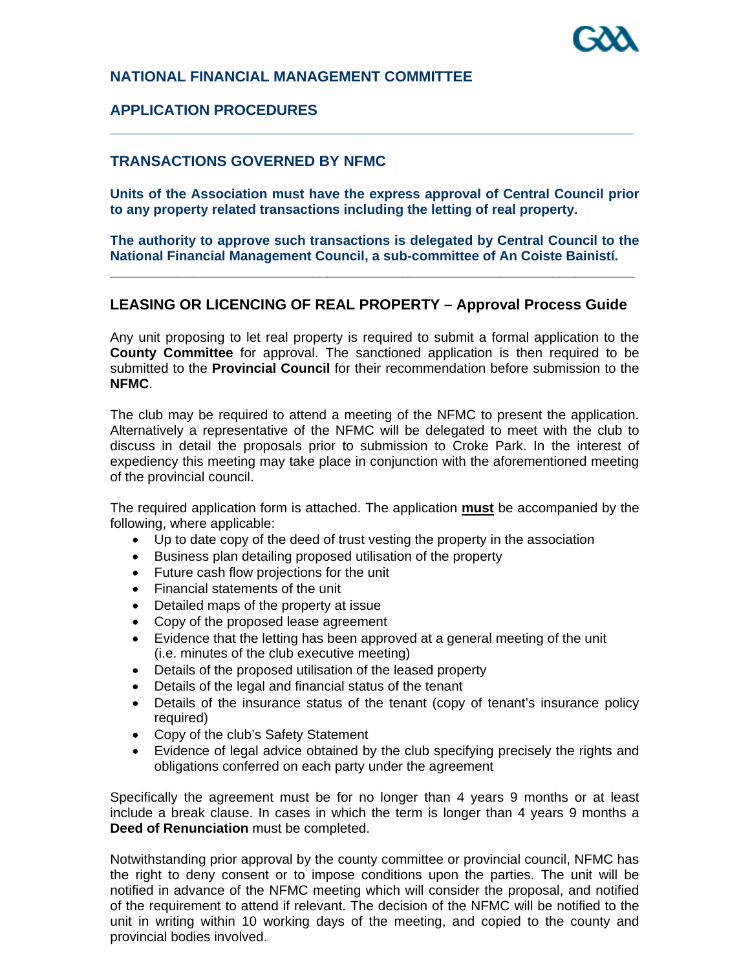# **NATIONAL FINANCIAL MANAGEMENT COMMITTEE**

# **APPLICATION PROCEDURES**

### **TRANSACTIONS GOVERNED BY NFMC**

**Units of the Association must have the express approval of Central Council prior to any property related transactions including the letting of real property.** 

**\_\_\_\_\_\_\_\_\_\_\_\_\_\_\_\_\_\_\_\_\_\_\_\_\_\_\_\_\_\_\_\_\_\_\_\_\_\_\_\_\_\_\_\_\_\_\_\_\_\_\_\_\_\_\_\_\_\_\_\_\_\_\_\_** 

**The authority to approve such transactions is delegated by Central Council to the National Financial Management Council, a sub-committee of An Coiste Bainistí. \_\_\_\_\_\_\_\_\_\_\_\_\_\_\_\_\_\_\_\_\_\_\_\_\_\_\_\_\_\_\_\_\_\_\_\_\_\_\_\_\_\_\_\_\_\_\_\_\_\_\_\_\_\_\_\_\_\_\_\_\_\_\_\_\_\_\_\_\_\_** 

# **LEASING OR LICENCING OF REAL PROPERTY – Approval Process Guide**

Any unit proposing to let real property is required to submit a formal application to the **County Committee** for approval. The sanctioned application is then required to be submitted to the **Provincial Council** for their recommendation before submission to the **NFMC**.

The club may be required to attend a meeting of the NFMC to present the application. Alternatively a representative of the NFMC will be delegated to meet with the club to discuss in detail the proposals prior to submission to Croke Park. In the interest of expediency this meeting may take place in conjunction with the aforementioned meeting of the provincial council.

The required application form is attached. The application **must** be accompanied by the following, where applicable:

- Up to date copy of the deed of trust vesting the property in the association
- Business plan detailing proposed utilisation of the property
- Future cash flow projections for the unit
- Financial statements of the unit
- Detailed maps of the property at issue
- Copy of the proposed lease agreement
- Evidence that the letting has been approved at a general meeting of the unit (i.e. minutes of the club executive meeting)
- Details of the proposed utilisation of the leased property
- Details of the legal and financial status of the tenant
- Details of the insurance status of the tenant (copy of tenant's insurance policy required)
- Copy of the club's Safety Statement
- Evidence of legal advice obtained by the club specifying precisely the rights and obligations conferred on each party under the agreement

Specifically the agreement must be for no longer than 4 years 9 months or at least include a break clause. In cases in which the term is longer than 4 years 9 months a **Deed of Renunciation** must be completed.

Notwithstanding prior approval by the county committee or provincial council, NFMC has the right to deny consent or to impose conditions upon the parties. The unit will be notified in advance of the NFMC meeting which will consider the proposal, and notified of the requirement to attend if relevant. The decision of the NFMC will be notified to the unit in writing within 10 working days of the meeting, and copied to the county and provincial bodies involved.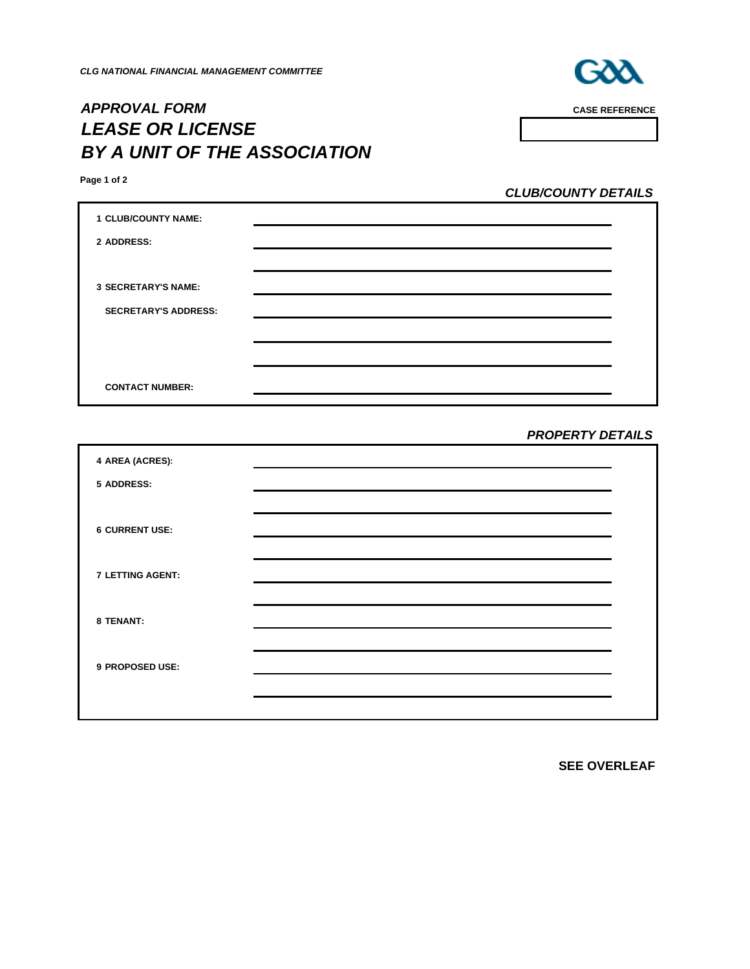

*APPROVAL FORM* **CASE REFERENCE** *LEASE OR LICENSE BY A UNIT OF THE ASSOCIATION* 

**Page 1 of 2**

*CLUB/COUNTY DETAILS*

| <b>1 CLUB/COUNTY NAME:</b>  |  |
|-----------------------------|--|
| 2 ADDRESS:                  |  |
|                             |  |
| <b>3 SECRETARY'S NAME:</b>  |  |
| <b>SECRETARY'S ADDRESS:</b> |  |
|                             |  |
|                             |  |
|                             |  |
| <b>CONTACT NUMBER:</b>      |  |

#### *PROPERTY DETAILS*

| 4 AREA (ACRES):         |  |
|-------------------------|--|
| 5 ADDRESS:              |  |
|                         |  |
| <b>6 CURRENT USE:</b>   |  |
|                         |  |
| <b>7 LETTING AGENT:</b> |  |
|                         |  |
| 8 TENANT:               |  |
|                         |  |
| 9 PROPOSED USE:         |  |
|                         |  |
|                         |  |

**SEE OVERLEAF**